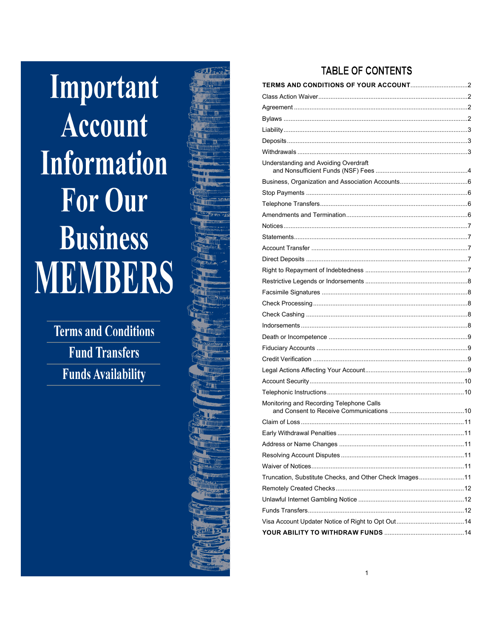Important **Account Information For Our Business MEMBERS** 

> **Terms and Conditions Fund Transfers Funds Availability**



# **TABLE OF CONTENTS**

| Understanding and Avoiding Overdraft                    |  |
|---------------------------------------------------------|--|
|                                                         |  |
|                                                         |  |
|                                                         |  |
|                                                         |  |
|                                                         |  |
|                                                         |  |
|                                                         |  |
|                                                         |  |
|                                                         |  |
|                                                         |  |
|                                                         |  |
|                                                         |  |
|                                                         |  |
|                                                         |  |
|                                                         |  |
|                                                         |  |
|                                                         |  |
|                                                         |  |
|                                                         |  |
|                                                         |  |
| Monitoring and Recording Telephone Calls                |  |
|                                                         |  |
|                                                         |  |
|                                                         |  |
|                                                         |  |
|                                                         |  |
| Truncation, Substitute Checks, and Other Check Images11 |  |
|                                                         |  |
|                                                         |  |
|                                                         |  |
|                                                         |  |
|                                                         |  |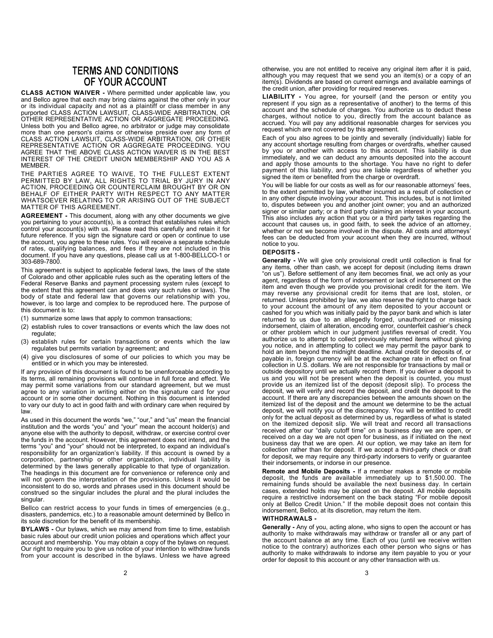## **TERMS AND CONDITIONS** OF YOUR ACCOUNT

CLASS ACTION WAIVER - Where permitted under applicable law, you and Bellco agree that each may bring claims against the other only in your or its individual capacity and not as a plaintiff or class member in any purported CLASS ACTIÓN LAWSUIT, CLASS-WIDE ARBITRATION, OR OTHER REPRESENTATIVE ACTION OR AGGREGATE PROCEEDING. Unless both you and Bellco agree, no arbitrator or judge may consolidate more than one person's claims or otherwise preside over any form of CLASS ACTION LAWSUIT, CLASS-WIDE ARBITRATION, OR OTHER REPRESENTATIVE ACTION OR AGGREGATE PROCEEDING. YOU AGREE THAT THE ABOVE CLASS ACTION WAIVER IS IN THE BEST INTEREST OF THE CREDIT UNION MEMBERSHIP AND YOU AS A MEMBER.

THE PARTIES AGREE TO WAIVE, TO THE FULLEST EXTENT PERMITTED BY LAW, ALL RIGHTS TO TRIAL BY JURY IN ANY ACTION, PROCEEDING OR COUNTERCLAIM BROUGHT BY OR ON BEHALF OF EITHER PARTY WITH RESPECT TO ANY MATTER WHATSOEVER RELATING TO OR ARISING OUT OF THE SUBJECT MATTER OF THIS AGREEMENT.

AGREEMENT - This document, along with any other documents we give you pertaining to your account(s), is a contract that establishes rules which control your account(s) with us. Please read this carefully and retain it for future reference. If you sign the signature card or open or continue to use the account, you agree to these rules. You will receive a separate schedule of rates, qualifying balances, and fees if they are not included in this document. If you have any questions, please call us at 1-800-BELLCO-1 or 303-689-7800.

This agreement is subject to applicable federal laws, the laws of the state of Colorado and other applicable rules such as the operating letters of the Federal Reserve Banks and payment processing system rules (except to the extent that this agreement can and does vary such rules or laws). The body of state and federal law that governs our relationship with you, however, is too large and complex to be reproduced here. The purpose of this document is to:

- (1) summarize some laws that apply to common transactions;
- (2) establish rules to cover transactions or events which the law does not regulate;
- (3) establish rules for certain transactions or events which the law regulates but permits variation by agreement; and
- (4) give you disclosures of some of our policies to which you may be entitled or in which you may be interested.

If any provision of this document is found to be unenforceable according to its terms, all remaining provisions will continue in full force and effect. We may permit some variations from our standard agreement, but we must agree to any variation in writing either on the signature card for your account or in some other document. Nothing in this document is intended to vary our duty to act in good faith and with ordinary care when required by law.

As used in this document the words "we," "our," and "us" mean the financial institution and the words "you" and "your" mean the account holder(s) and anyone else with the authority to deposit, withdraw, or exercise control over the funds in the account. However, this agreement does not intend, and the terms "you" and "your" should not be interpreted, to expand an individual's responsibility for an organization's liability. If this account is owned by a corporation, partnership or other organization, individual liability is determined by the laws generally applicable to that type of organization. The headings in this document are for convenience or reference only and will not govern the interpretation of the provisions. Unless it would be inconsistent to do so, words and phrases used in this document should be construed so the singular includes the plural and the plural includes the singular.

Bellco can restrict access to your funds in times of emergencies (e.g., disasters, pandemics, etc.) to a reasonable amount determined by Bellco in its sole discretion for the benefit of its membership.

BYLAWS - Our bylaws, which we may amend from time to time, establish basic rules about our credit union policies and operations which affect your account and membership. You may obtain a copy of the bylaws on request. Our right to require you to give us notice of your intention to withdraw funds from your account is described in the bylaws. Unless we have agreed

otherwise, you are not entitled to receive any original item after it is paid, although you may request that we send you an item(s) or a copy of an item(s). Dividends are based on current earnings and available earnings of the credit union, after providing for required reserves.

LIABILITY - You agree, for yourself (and the person or entity you represent if you sign as a representative of another) to the terms of this account and the schedule of charges. You authorize us to deduct these charges, without notice to you, directly from the account balance as accrued. You will pay any additional reasonable charges for services you request which are not covered by this agreement.

Each of you also agrees to be jointly and severally (individually) liable for any account shortage resulting from charges or overdrafts, whether caused by you or another with access to this account. This liability is due immediately, and we can deduct any amounts deposited into the account and apply those amounts to the shortage. You have no right to defer payment of this liability, and you are liable regardless of whether you signed the item or benefited from the charge or overdraft.

You will be liable for our costs as well as for our reasonable attorneys' fees, to the extent permitted by law, whether incurred as a result of collection or in any other dispute involving your account. This includes, but is not limited to, disputes between you and another joint owner; you and an authorized signer or similar party; or a third party claiming an interest in your account. This also includes any action that you or a third party takes regarding the account that causes us, in good faith, to seek the advice of an attorney, whether or not we become involved in the dispute. All costs and attorneys' fees can be deducted from your account when they are incurred, without notice to you.

#### DEPOSITS -

Generally - We will give only provisional credit until collection is final for any items, other than cash, we accept for deposit (including items drawn "on us"). Before settlement of any item becomes final, we act only as your agent, regardless of the form of indorsement or lack of indorsement on the item and even though we provide you provisional credit for the item. We may reverse any provisional credit for items that are lost, stolen, or returned. Unless prohibited by law, we also reserve the right to charge back to your account the amount of any item deposited to your account or cashed for you which was initially paid by the payor bank and which is later returned to us due to an allegedly forged, unauthorized or missing indorsement, claim of alteration, encoding error, counterfeit cashier's check or other problem which in our judgment justifies reversal of credit. You authorize us to attempt to collect previously returned items without giving you notice, and in attempting to collect we may permit the payor bank to hold an item beyond the midnight deadline. Actual credit for deposits of, or payable in, foreign currency will be at the exchange rate in effect on final collection in U.S. dollars. We are not responsible for transactions by mail or outside depository until we actually record them. If you deliver a deposit to us and you will not be present when the deposit is counted, you must provide us an itemized list of the deposit (deposit slip). To process the deposit, we will verify and record the deposit, and credit the deposit to the account. If there are any discrepancies between the amounts shown on the itemized list of the deposit and the amount we determine to be the actual deposit, we will notify you of the discrepancy. You will be entitled to credit only for the actual deposit as determined by us, regardless of what is stated on the itemized deposit slip. We will treat and record all transactions received after our "daily cutoff time" on a business day we are open, or received on a day we are not open for business, as if initiated on the next business day that we are open. At our option, we may take an item for collection rather than for deposit. If we accept a third-party check or draft for deposit, we may require any third-party indorsers to verify or guarantee their indorsements, or indorse in our presence.

Remote and Mobile Deposits - If a member makes a remote or mobile deposit, the funds are available immediately up to \$1,500.00. The remaining funds should be available the next business day. In certain cases, extended holds may be placed on the deposit. All mobile deposits require a restrictive indorsement on the back stating "For mobile deposit only at Bellco Credit Union." If the mobile deposit does not contain this indorsement, Bellco, at its discretion, may return the item.

#### WITHDRAWALS -

Generally - Any of you, acting alone, who signs to open the account or has authority to make withdrawals may withdraw or transfer all or any part of the account balance at any time. Each of you (until we receive written notice to the contrary) authorizes each other person who signs or has authority to make withdrawals to indorse any item payable to you or your order for deposit to this account or any other transaction with us.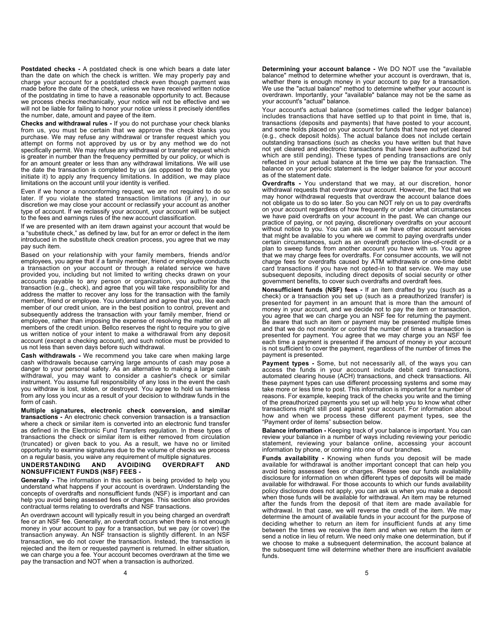Postdated checks - A postdated check is one which bears a date later than the date on which the check is written. We may properly pay and charge your account for a postdated check even though payment was made before the date of the check, unless we have received written notice of the postdating in time to have a reasonable opportunity to act. Because we process checks mechanically, your notice will not be effective and we will not be liable for failing to honor your notice unless it precisely identifies the number, date, amount and payee of the item.

Checks and withdrawal rules - If you do not purchase your check blanks from us, you must be certain that we approve the check blanks you purchase. We may refuse any withdrawal or transfer request which you attempt on forms not approved by us or by any method we do not specifically permit. We may refuse any withdrawal or transfer request which is greater in number than the frequency permitted by our policy, or which is for an amount greater or less than any withdrawal limitations. We will use the date the transaction is completed by us (as opposed to the date you initiate it) to apply any frequency limitations. In addition, we may place limitations on the account until your identity is verified.

Even if we honor a nonconforming request, we are not required to do so later. If you violate the stated transaction limitations (if any), in our discretion we may close your account or reclassify your account as another type of account. If we reclassify your account, your account will be subject to the fees and earnings rules of the new account classification.

If we are presented with an item drawn against your account that would be a "substitute check," as defined by law, but for an error or defect in the item introduced in the substitute check creation process, you agree that we may pay such item.

Based on your relationship with your family members, friends and/or employees, you agree that if a family member, friend or employee conducts a transaction on your account or through a related service we have provided you, including but not limited to writing checks drawn on your accounts payable to any person or organization, you authorize the transaction (e.g., check), and agree that you will take responsibility for and address the matter to recover any loss for the transaction with the family member, friend or employee. You understand and agree that you, like each member of our credit union, are in the best position to control, prevent and subsequently address the transaction with your family member, friend or employee, rather than imposing the expense of resolving the matter on all members of the credit union. Bellco reserves the right to require you to give us written notice of your intent to make a withdrawal from any deposit account (except a checking account), and such notice must be provided to us not less than seven days before such withdrawal.

Cash withdrawals - We recommend you take care when making large cash withdrawals because carrying large amounts of cash may pose a danger to your personal safety. As an alternative to making a large cash withdrawal, you may want to consider a cashier's check or similar instrument. You assume full responsibility of any loss in the event the cash you withdraw is lost, stolen, or destroyed. You agree to hold us harmless from any loss you incur as a result of your decision to withdraw funds in the form of cash.

Multiple signatures, electronic check conversion, and similar transactions - An electronic check conversion transaction is a transaction where a check or similar item is converted into an electronic fund transfer as defined in the Electronic Fund Transfers regulation. In these types of transactions the check or similar item is either removed from circulation (truncated) or given back to you. As a result, we have no or limited opportunity to examine signatures due to the volume of checks we process on a regular basis, you waive any requirement of multiple signatures.

#### UNDERSTANDING AND AVOIDING OVERDRAFT AND NONSUFFICIENT FUNDS (NSF) FEES -

Generally - The information in this section is being provided to help you understand what happens if your account is overdrawn. Understanding the concepts of overdrafts and nonsufficient funds (NSF) is important and can help you avoid being assessed fees or charges. This section also provides contractual terms relating to overdrafts and NSF transactions.

An overdrawn account will typically result in you being charged an overdraft fee or an NSF fee. Generally, an overdraft occurs when there is not enough money in your account to pay for a transaction, but we pay (or cover) the transaction anyway. An NSF transaction is slightly different. In an NSF transaction, we do not cover the transaction. Instead, the transaction is rejected and the item or requested payment is returned. In either situation, we can charge you a fee. Your account becomes overdrawn at the time we pay the transaction and NOT when a transaction is authorized.

Determining your account balance - We DO NOT use the "available balance" method to determine whether your account is overdrawn, that is, whether there is enough money in your account to pay for a transaction. We use the "actual balance" method to determine whether your account is overdrawn. Importantly, your "available" balance may not be the same as your account's "actual" balance.

Your account's actual balance (sometimes called the ledger balance) includes transactions that have settled up to that point in time, that is, transactions (deposits and payments) that have posted to your account, and some holds placed on your account for funds that have not yet cleared (e.g., check deposit holds). The actual balance does not include certain outstanding transactions (such as checks you have written but that have not yet cleared and electronic transactions that have been authorized but which are still pending). These types of pending transactions are only reflected in your actual balance at the time we pay the transaction. The balance on your periodic statement is the ledger balance for your account as of the statement date.

Overdrafts - You understand that we may, at our discretion, honor withdrawal requests that overdraw your account. However, the fact that we may honor withdrawal requests that overdraw the account balance does not obligate us to do so later. So you can NOT rely on us to pay overdrafts on your account regardless of how frequently or under what circumstances we have paid overdrafts on your account in the past. We can change our practice of paying, or not paying, discretionary overdrafts on your account without notice to you. You can ask us if we have other account services that might be available to you where we commit to paying overdrafts under certain circumstances, such as an overdraft protection line-of-credit or a plan to sweep funds from another account you have with us. You agree that we may charge fees for overdrafts. For consumer accounts, we will not charge fees for overdrafts caused by ATM withdrawals or one-time debit card transactions if you have not opted-in to that service. We may use subsequent deposits, including direct deposits of social security or other government benefits, to cover such overdrafts and overdraft fees.

Nonsufficient funds (NSF) fees - If an item drafted by you (such as a check) or a transaction you set up (such as a preauthorized transfer) is presented for payment in an amount that is more than the amount of money in your account, and we decide not to pay the item or transaction, you agree that we can charge you an NSF fee for returning the payment. Be aware that such an item or payment may be presented multiple times and that we do not monitor or control the number of times a transaction is presented for payment. You agree that we may charge you an NSF fee each time a payment is presented if the amount of money in your account is not sufficient to cover the payment, regardless of the number of times the payment is presented.

Payment types - Some, but not necessarily all, of the ways you can access the funds in your account include debit card transactions, automated clearing house (ACH) transactions, and check transactions. All these payment types can use different processing systems and some may take more or less time to post. This information is important for a number of reasons. For example, keeping track of the checks you write and the timing of the preauthorized payments you set up will help you to know what other transactions might still post against your account. For information about how and when we process these different payment types, see the "Payment order of items" subsection below.

Balance information - Keeping track of your balance is important. You can review your balance in a number of ways including reviewing your periodic statement, reviewing your balance online, accessing your account information by phone, or coming into one of our branches.

Funds availability - Knowing when funds you deposit will be made available for withdrawal is another important concept that can help you avoid being assessed fees or charges. Please see our funds availability disclosure for information on when different types of deposits will be made available for withdrawal. For those accounts to which our funds availability policy disclosure does not apply, you can ask us when you make a deposit when those funds will be available for withdrawal. An item may be returned after the funds from the deposit of that item are made available for withdrawal. In that case, we will reverse the credit of the item. We may determine the amount of available funds in your account for the purpose of deciding whether to return an item for insufficient funds at any time between the times we receive the item and when we return the item or send a notice in lieu of return. We need only make one determination, but if we choose to make a subsequent determination, the account balance at the subsequent time will determine whether there are insufficient available funds.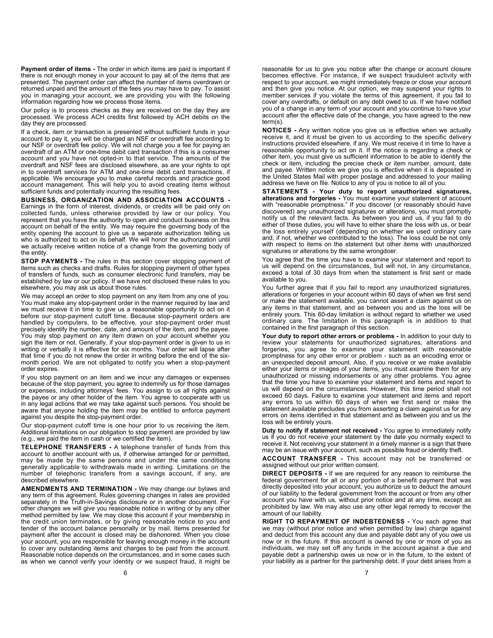Payment order of items - The order in which items are paid is important if there is not enough money in your account to pay all of the items that are presented. The payment order can affect the number of items overdrawn or returned unpaid and the amount of the fees you may have to pay. To assist you in managing your account, we are providing you with the following information regarding how we process those items.

Our policy is to process checks as they are received on the day they are processed. We process ACH credits first followed by ACH debits on the day they are processed.

If a check, item or transaction is presented without sufficient funds in your account to pay it, you will be charged an NSF or overdraft fee according to our NSF or overdraft fee policy. We will not charge you a fee for paying an overdraft of an ATM or one-time debit card transaction if this is a consumer account and you have not opted-in to that service. The amounts of the overdraft and NSF fees are disclosed elsewhere, as are your rights to opt in to overdraft services for ATM and one-time debit card transactions, if applicable. We encourage you to make careful records and practice good account management. This will help you to avoid creating items without sufficient funds and potentially incurring the resulting fees.

BUSINESS, ORGANIZATION AND ASSOCIATION ACCOUNTS - Earnings in the form of interest, dividends, or credits will be paid only on collected funds, unless otherwise provided by law or our policy. You represent that you have the authority to open and conduct business on this account on behalf of the entity. We may require the governing body of the entity opening the account to give us a separate authorization telling us who is authorized to act on its behalf. We will honor the authorization until we actually receive written notice of a change from the governing body of the entity.

**STOP PAYMENTS - The rules in this section cover stopping payment of** items such as checks and drafts. Rules for stopping payment of other types of transfers of funds, such as consumer electronic fund transfers, may be established by law or our policy. If we have not disclosed these rules to you elsewhere, you may ask us about those rules.

We may accept an order to stop payment on any item from any one of you. You must make any stop-payment order in the manner required by law and we must receive it in time to give us a reasonable opportunity to act on it before our stop-payment cutoff time. Because stop-payment orders are handled by computers, to be effective, your stop-payment order must precisely identify the number, date, and amount of the item, and the payee. You may stop payment on any item drawn on your account whether you sign the item or not. Generally, if your stop-payment order is given to us in writing or verbally it is effective for six months. Your order will lapse after that time if you do not renew the order in writing before the end of the sixmonth period. We are not obligated to notify you when a stop-payment order expires.

If you stop payment on an item and we incur any damages or expenses because of the stop payment, you agree to indemnify us for those damages or expenses, including attorneys' fees. You assign to us all rights against the payee or any other holder of the item. You agree to cooperate with us in any legal actions that we may take against such persons. You should be aware that anyone holding the item may be entitled to enforce payment against you despite the stop-payment order.

Our stop-payment cutoff time is one hour prior to us receiving the item. Additional limitations on our obligation to stop payment are provided by law (e.g., we paid the item in cash or we certified the item).

TELEPHONE TRANSFERS - A telephone transfer of funds from this account to another account with us, if otherwise arranged for or permitted, may be made by the same persons and under the same conditions generally applicable to withdrawals made in writing. Limitations on the number of telephonic transfers from a savings account, if any, are described elsewhere.

AMENDMENTS AND TERMINATION - We may change our bylaws and any term of this agreement. Rules governing changes in rates are provided separately in the Truth-in-Savings disclosure or in another document. For other changes we will give you reasonable notice in writing or by any other method permitted by law. We may close this account if your membership in the credit union terminates, or by giving reasonable notice to you and tender of the account balance personally or by mail. Items presented for payment after the account is closed may be dishonored. When you close your account, you are responsible for leaving enough money in the account to cover any outstanding items and charges to be paid from the account. Reasonable notice depends on the circumstances, and in some cases such as when we cannot verify your identity or we suspect fraud, it might be

reasonable for us to give you notice after the change or account closure becomes effective. For instance, if we suspect fraudulent activity with respect to your account, we might immediately freeze or close your account and then give you notice. At our option, we may suspend your rights to member services if you violate the terms of this agreement, if you fail to cover any overdrafts, or default on any debt owed to us. If we have notified you of a change in any term of your account and you continue to have your account after the effective date of the change, you have agreed to the new term(s).

NOTICES - Any written notice you give us is effective when we actually receive it, and it must be given to us according to the specific delivery instructions provided elsewhere, if any. We must receive it in time to have a reasonable opportunity to act on it. If the notice is regarding a check or other item, you must give us sufficient information to be able to identify the check or item, including the precise check or item number, amount, date and payee. Written notice we give you is effective when it is deposited in the United States Mail with proper postage and addressed to your mailing address we have on file. Notice to any of you is notice to all of you.

STATEMENTS - Your duty to report unauthorized signatures, alterations and forgeries - You must examine your statement of account with "reasonable promptness." If you discover (or reasonably should have discovered) any unauthorized signatures or alterations, you must promptly notify us of the relevant facts. As between you and us, if you fail to do either of these duties, you will have to either share the loss with us, or bear the loss entirely yourself (depending on whether we used ordinary care and, if not, whether we contributed to the loss). The loss could be not only with respect to items on the statement but other items with unauthorized signatures or alterations by the same wrongdoer.

You agree that the time you have to examine your statement and report to us will depend on the circumstances, but will not, in any circumstance, exceed a total of 30 days from when the statement is first sent or made available to you.

You further agree that if you fail to report any unauthorized signatures, alterations or forgeries in your account within 60 days of when we first send or make the statement available, you cannot assert a claim against us on any items in that statement, and as between you and us the loss will be entirely yours. This 60-day limitation is without regard to whether we used ordinary care. The limitation in this paragraph is in addition to that contained in the first paragraph of this section.

Your duty to report other errors or problems - In addition to your duty to review your statements for unauthorized signatures, alterations and forgeries, you agree to examine your statement with reasonable promptness for any other error or problem - such as an encoding error or an unexpected deposit amount. Also, if you receive or we make available either your items or images of your items, you must examine them for any unauthorized or missing indorsements or any other problems. You agree that the time you have to examine your statement and items and report to us will depend on the circumstances. However, this time period shall not exceed 60 days. Failure to examine your statement and items and report any errors to us within 60 days of when we first send or make the statement available precludes you from asserting a claim against us for any errors on items identified in that statement and as between you and us the loss will be entirely yours.

Duty to notify if statement not received - You agree to immediately notify us if you do not receive your statement by the date you normally expect to receive it. Not receiving your statement in a timely manner is a sign that there may be an issue with your account, such as possible fraud or identity theft.

ACCOUNT TRANSFER - This account may not be transferred or assigned without our prior written consent.

DIRECT DEPOSITS - If we are required for any reason to reimburse the federal government for all or any portion of a benefit payment that was directly deposited into your account, you authorize us to deduct the amount of our liability to the federal government from the account or from any other account you have with us, without prior notice and at any time, except as prohibited by law. We may also use any other legal remedy to recover the amount of our liability.

RIGHT TO REPAYMENT OF INDEBTEDNESS - You each agree that we may (without prior notice and when permitted by law) charge against and deduct from this account any due and payable debt any of you owe us now or in the future. If this account is owned by one or more of you as individuals, we may set off any funds in the account against a due and payable debt a partnership owes us now or in the future, to the extent of your liability as a partner for the partnership debt. If your debt arises from a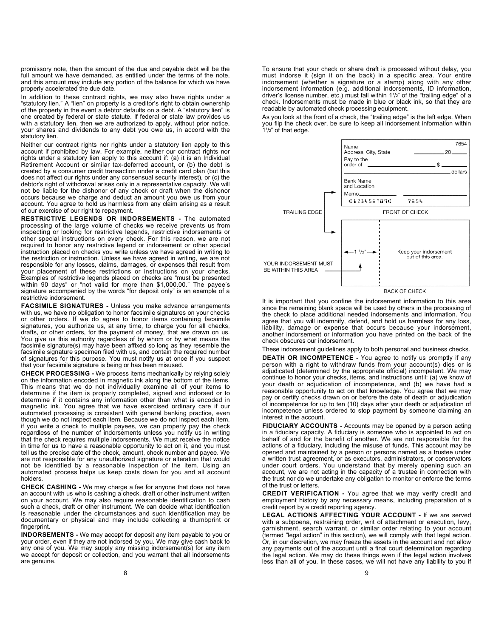promissory note, then the amount of the due and payable debt will be the full amount we have demanded, as entitled under the terms of the note, and this amount may include any portion of the balance for which we have properly accelerated the due date

In addition to these contract rights, we may also have rights under a "statutory lien." A "lien" on property is a creditor's right to obtain ownership of the property in the event a debtor defaults on a debt. A "statutory lien" is one created by federal or state statute. If federal or state law provides us with a statutory lien, then we are authorized to apply, without prior notice, your shares and dividends to any debt you owe us, in accord with the statutory lien.

Neither our contract rights nor rights under a statutory lien apply to this account if prohibited by law. For example, neither our contract rights nor rights under a statutory lien apply to this account if: (a) it is an Individual Retirement Account or similar tax-deferred account, or (b) the debt is created by a consumer credit transaction under a credit card plan (but this does not affect our rights under any consensual security interest), or (c) the debtor's right of withdrawal arises only in a representative capacity. We will not be liable for the dishonor of any check or draft when the dishonor occurs because we charge and deduct an amount you owe us from your account. You agree to hold us harmless from any claim arising as a result of our exercise of our right to repayment.

RESTRICTIVE LEGENDS OR INDORSEMENTS - The automated processing of the large volume of checks we receive prevents us from inspecting or looking for restrictive legends, restrictive indorsements or other special instructions on every check. For this reason, we are not required to honor any restrictive legend or indorsement or other special instruction placed on checks you write unless we have agreed in writing to the restriction or instruction. Unless we have agreed in writing, we are not responsible for any losses, claims, damages, or expenses that result from your placement of these restrictions or instructions on your checks. Examples of restrictive legends placed on checks are "must be presented within 90 days" or "not valid for more than \$1,000.00." The payee's signature accompanied by the words "for deposit only" is an example of a restrictive indorsement.

FACSIMILE SIGNATURES - Unless you make advance arrangements with us, we have no obligation to honor facsimile signatures on your checks or other orders. If we do agree to honor items containing facsimile signatures, you authorize us, at any time, to charge you for all checks, drafts, or other orders, for the payment of money, that are drawn on us. You give us this authority regardless of by whom or by what means the facsimile signature(s) may have been affixed so long as they resemble the facsimile signature specimen filed with us, and contain the required number of signatures for this purpose. You must notify us at once if you suspect that your facsimile signature is being or has been misused.

CHECK PROCESSING - We process items mechanically by relying solely on the information encoded in magnetic ink along the bottom of the items. This means that we do not individually examine all of your items to determine if the item is properly completed, signed and indorsed or to determine if it contains any information other than what is encoded in magnetic ink. You agree that we have exercised ordinary care if our automated processing is consistent with general banking practice, even though we do not inspect each item. Because we do not inspect each item, if you write a check to multiple payees, we can properly pay the check regardless of the number of indorsements unless you notify us in writing that the check requires multiple indorsements. We must receive the notice in time for us to have a reasonable opportunity to act on it, and you must tell us the precise date of the check, amount, check number and payee. We are not responsible for any unauthorized signature or alteration that would not be identified by a reasonable inspection of the item. Using an automated process helps us keep costs down for you and all account holders.

CHECK CASHING - We may charge a fee for anyone that does not have an account with us who is cashing a check, draft or other instrument written on your account. We may also require reasonable identification to cash such a check, draft or other instrument. We can decide what identification is reasonable under the circumstances and such identification may be documentary or physical and may include collecting a thumbprint or fingerprint.

INDORSEMENTS - We may accept for deposit any item payable to you or your order, even if they are not indorsed by you. We may give cash back to any one of you. We may supply any missing indorsement(s) for any item we accept for deposit or collection, and you warrant that all indorsements are genuine.

To ensure that your check or share draft is processed without delay, you must indorse it (sign it on the back) in a specific area. Your entire indorsement (whether a signature or a stamp) along with any other indorsement information (e.g. additional indorsements, ID information, driver's license number, etc.) must fall within 1<sup>1</sup>/<sub>2</sub>" of the "trailing edge" of a check. Indorsements must be made in blue or black ink, so that they are readable by automated check processing equipment.

As you look at the front of a check, the "trailing edge" is the left edge. When you flip the check over, be sure to keep all indorsement information within 1 1 /2" of that edge.



**BACK OF CHECK** 

It is important that you confine the indorsement information to this area since the remaining blank space will be used by others in the processing of the check to place additional needed indorsements and information. You agree that you will indemnify, defend, and hold us harmless for any loss, liability, damage or expense that occurs because your indorsement, another indorsement or information you have printed on the back of the check obscures our indorsement.

These indorsement guidelines apply to both personal and business checks. **DEATH OR INCOMPETENCE -** You agree to notify us promptly if any person with a right to withdraw funds from your account(s) dies or is

adjudicated (determined by the appropriate official) incompetent. We may continue to honor your checks, items, and instructions until: (a) we know of your death or adjudication of incompetence, and (b) we have had a reasonable opportunity to act on that knowledge. You agree that we may pay or certify checks drawn on or before the date of death or adjudication of incompetence for up to ten (10) days after your death or adjudication of incompetence unless ordered to stop payment by someone claiming an interest in the account.

FIDUCIARY ACCOUNTS - Accounts may be opened by a person acting in a fiduciary capacity. A fiduciary is someone who is appointed to act on behalf of and for the benefit of another. We are not responsible for the actions of a fiduciary, including the misuse of funds. This account may be opened and maintained by a person or persons named as a trustee under a written trust agreement, or as executors, administrators, or conservators under court orders. You understand that by merely opening such an account, we are not acting in the capacity of a trustee in connection with the trust nor do we undertake any obligation to monitor or enforce the terms of the trust or letters.

CREDIT VERIFICATION - You agree that we may verify credit and employment history by any necessary means, including preparation of a credit report by a credit reporting agency.

LEGAL ACTIONS AFFECTING YOUR ACCOUNT - If we are served with a subpoena, restraining order, writ of attachment or execution, levy, garnishment, search warrant, or similar order relating to your account (termed "legal action" in this section), we will comply with that legal action. Or, in our discretion, we may freeze the assets in the account and not allow any payments out of the account until a final court determination regarding the legal action. We may do these things even if the legal action involves less than all of you. In these cases, we will not have any liability to you if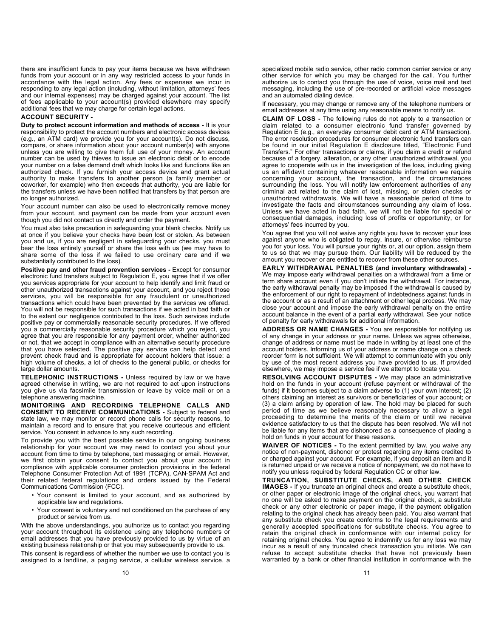there are insufficient funds to pay your items because we have withdrawn funds from your account or in any way restricted access to your funds in accordance with the legal action. Any fees or expenses we incur in responding to any legal action (including, without limitation, attorneys' fees and our internal expenses) may be charged against your account. The list of fees applicable to your account(s) provided elsewhere may specify additional fees that we may charge for certain legal actions.

### ACCOUNT SECURITY -

Duty to protect account information and methods of access - It is your responsibility to protect the account numbers and electronic access devices (e.g., an ATM card) we provide you for your account(s). Do not discuss, compare, or share information about your account number(s) with anyone unless you are willing to give them full use of your money. An account number can be used by thieves to issue an electronic debit or to encode your number on a false demand draft which looks like and functions like an authorized check. If you furnish your access device and grant actual authority to make transfers to another person (a family member or coworker, for example) who then exceeds that authority, you are liable for the transfers unless we have been notified that transfers by that person are no longer authorized.

Your account number can also be used to electronically remove money from your account, and payment can be made from your account even though you did not contact us directly and order the payment.

You must also take precaution in safeguarding your blank checks. Notify us at once if you believe your checks have been lost or stolen. As between you and us, if you are negligent in safeguarding your checks, you must bear the loss entirely yourself or share the loss with us (we may have to share some of the loss if we failed to use ordinary care and if we substantially contributed to the loss).

Positive pay and other fraud prevention services - Except for consumer electronic fund transfers subject to Regulation E, you agree that if we offer you services appropriate for your account to help identify and limit fraud or other unauthorized transactions against your account, and you reject those services, you will be responsible for any fraudulent or unauthorized transactions which could have been prevented by the services we offered. You will not be responsible for such transactions if we acted in bad faith or to the extent our negligence contributed to the loss. Such services include positive pay or commercially reasonable security procedures. If we offered you a commercially reasonable security procedure which you reject, you agree that you are responsible for any payment order, whether authorized or not, that we accept in compliance with an alternative security procedure that you have selected. The positive pay service can help detect and prevent check fraud and is appropriate for account holders that issue: a high volume of checks, a lot of checks to the general public, or checks for large dollar amounts.

TELEPHONIC INSTRUCTIONS - Unless required by law or we have agreed otherwise in writing, we are not required to act upon instructions you give us via facsimile transmission or leave by voice mail or on a telephone answering machine.

MONITORING AND RECORDING TELEPHONE CALLS AND CONSENT TO RECEIVE COMMUNICATIONS - Subject to federal and state law, we may monitor or record phone calls for security reasons, to maintain a record and to ensure that you receive courteous and efficient service. You consent in advance to any such recording.

To provide you with the best possible service in our ongoing business relationship for your account we may need to contact you about your account from time to time by telephone, text messaging or email. However, we first obtain your consent to contact you about your account in compliance with applicable consumer protection provisions in the federal Telephone Consumer Protection Act of 1991 (TCPA), CAN-SPAM Act and their related federal regulations and orders issued by the Federal Communications Commission (FCC).

- Your consent is limited to your account, and as authorized by applicable law and regulations.
- Your consent is voluntary and not conditioned on the purchase of any product or service from us.

With the above understandings, you authorize us to contact you regarding your account throughout its existence using any telephone numbers or email addresses that you have previously provided to us by virtue of an existing business relationship or that you may subsequently provide to us.

This consent is regardless of whether the number we use to contact you is assigned to a landline, a paging service, a cellular wireless service, a If necessary, you may change or remove any of the telephone numbers or email addresses at any time using any reasonable means to notify us.

CLAIM OF LOSS - The following rules do not apply to a transaction or claim related to a consumer electronic fund transfer governed by Regulation E (e.g., an everyday consumer debit card or ATM transaction). The error resolution procedures for consumer electronic fund transfers can be found in our initial Regulation E disclosure titled, "Electronic Fund Transfers." For other transactions or claims, if you claim a credit or refund because of a forgery, alteration, or any other unauthorized withdrawal, you agree to cooperate with us in the investigation of the loss, including giving us an affidavit containing whatever reasonable information we require concerning your account, the transaction, and the circumstances surrounding the loss. You will notify law enforcement authorities of any criminal act related to the claim of lost, missing, or stolen checks or unauthorized withdrawals. We will have a reasonable period of time to investigate the facts and circumstances surrounding any claim of loss. Unless we have acted in bad faith, we will not be liable for special or consequential damages, including loss of profits or opportunity, or for attorneys' fees incurred by you.

You agree that you will not waive any rights you have to recover your loss against anyone who is obligated to repay, insure, or otherwise reimburse you for your loss. You will pursue your rights or, at our option, assign them to us so that we may pursue them. Our liability will be reduced by the amount you recover or are entitled to recover from these other sources.

EARLY WITHDRAWAL PENALTIES (and involuntary withdrawals) - We may impose early withdrawal penalties on a withdrawal from a time or term share account even if you don't initiate the withdrawal. For instance, the early withdrawal penalty may be imposed if the withdrawal is caused by the enforcement of our right to repayment of indebtedness against funds in the account or as a result of an attachment or other legal process. We may close your account and impose the early withdrawal penalty on the entire account balance in the event of a partial early withdrawal. See your notice of penalty for early withdrawals for additional information.

ADDRESS OR NAME CHANGES - You are responsible for notifying us of any change in your address or your name. Unless we agree otherwise, change of address or name must be made in writing by at least one of the account holders. Informing us of your address or name change on a check reorder form is not sufficient. We will attempt to communicate with you only by use of the most recent address you have provided to us. If provided elsewhere, we may impose a service fee if we attempt to locate you.

RESOLVING ACCOUNT DISPUTES - We may place an administrative hold on the funds in your account (refuse payment or withdrawal of the funds) if it becomes subject to a claim adverse to (1) your own interest; (2) others claiming an interest as survivors or beneficiaries of your account; or (3) a claim arising by operation of law. The hold may be placed for such period of time as we believe reasonably necessary to allow a legal proceeding to determine the merits of the claim or until we receive evidence satisfactory to us that the dispute has been resolved. We will not be liable for any items that are dishonored as a consequence of placing a hold on funds in your account for these reasons.

WAIVER OF NOTICES - To the extent permitted by law, you waive any notice of non-payment, dishonor or protest regarding any items credited to or charged against your account. For example, if you deposit an item and it is returned unpaid or we receive a notice of nonpayment, we do not have to notify you unless required by federal Regulation CC or other law.

TRUNCATION, SUBSTITUTE CHECKS, AND OTHER CHECK IMAGES - If you truncate an original check and create a substitute check, or other paper or electronic image of the original check, you warrant that no one will be asked to make payment on the original check, a substitute check or any other electronic or paper image, if the payment obligation relating to the original check has already been paid. You also warrant that any substitute check you create conforms to the legal requirements and generally accepted specifications for substitute checks. You agree to retain the original check in conformance with our internal policy for retaining original checks. You agree to indemnify us for any loss we may incur as a result of any truncated check transaction you initiate. We can refuse to accept substitute checks that have not previously been warranted by a bank or other financial institution in conformance with the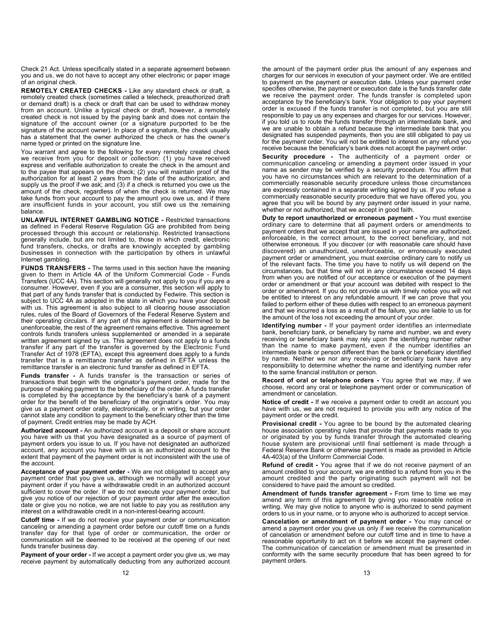Check 21 Act. Unless specifically stated in a separate agreement between you and us, we do not have to accept any other electronic or paper image of an original check.

REMOTELY CREATED CHECKS - Like any standard check or draft, a remotely created check (sometimes called a telecheck, preauthorized draft or demand draft) is a check or draft that can be used to withdraw money from an account. Unlike a typical check or draft, however, a remotely created check is not issued by the paying bank and does not contain the signature of the account owner (or a signature purported to be the signature of the account owner). In place of a signature, the check usually has a statement that the owner authorized the check or has the owner's name typed or printed on the signature line.

You warrant and agree to the following for every remotely created check we receive from you for deposit or collection: (1) you have received express and verifiable authorization to create the check in the amount and to the payee that appears on the check; (2) you will maintain proof of the authorization for at least 2 years from the date of the authorization, and supply us the proof if we ask; and (3) if a check is returned you owe us the amount of the check, regardless of when the check is returned. We may take funds from your account to pay the amount you owe us, and if there are insufficient funds in your account, you still owe us the remaining balance.

UNLAWFUL INTERNET GAMBLING NOTICE - Restricted transactions as defined in Federal Reserve Regulation GG are prohibited from being processed through this account or relationship. Restricted transactions generally include, but are not limited to, those in which credit, electronic fund transfers, checks, or drafts are knowingly accepted by gambling businesses in connection with the participation by others in unlawful Internet gambling.

FUNDS TRANSFERS - The terms used in this section have the meaning given to them in Article 4A of the Uniform Commercial Code - Funds Transfers (UCC 4A). This section will generally not apply to you if you are a consumer. However, even if you are a consumer, this section will apply to that part of any funds transfer that is conducted by Fedwire. This section is subject to UCC 4A as adopted in the state in which you have your deposit with us. This agreement is also subject to all clearing house association rules, rules of the Board of Governors of the Federal Reserve System and their operating circulars. If any part of this agreement is determined to be unenforceable, the rest of the agreement remains effective. This agreement controls funds transfers unless supplemented or amended in a separate written agreement signed by us. This agreement does not apply to a funds transfer if any part of the transfer is governed by the Electronic Fund Transfer Act of 1978 (EFTA), except this agreement does apply to a funds transfer that is a remittance transfer as defined in EFTA unless the remittance transfer is an electronic fund transfer as defined in EFTA.

Funds transfer - A funds transfer is the transaction or series of transactions that begin with the originator's payment order, made for the purpose of making payment to the beneficiary of the order. A funds transfer is completed by the acceptance by the beneficiary's bank of a payment order for the benefit of the beneficiary of the originator's order. You may give us a payment order orally, electronically, or in writing, but your order cannot state any condition to payment to the beneficiary other than the time of payment. Credit entries may be made by ACH.

Authorized account - An authorized account is a deposit or share account you have with us that you have designated as a source of payment of payment orders you issue to us. If you have not designated an authorized account, any account you have with us is an authorized account to the extent that payment of the payment order is not inconsistent with the use of the account.

Acceptance of your payment order - We are not obligated to accept any payment order that you give us, although we normally will accept your payment order if you have a withdrawable credit in an authorized account sufficient to cover the order. If we do not execute your payment order, but give you notice of our rejection of your payment order after the execution date or give you no notice, we are not liable to pay you as restitution any interest on a withdrawable credit in a non-interest-bearing account.

Cutoff time - If we do not receive your payment order or communication canceling or amending a payment order before our cutoff time on a funds transfer day for that type of order or communication, the order or communication will be deemed to be received at the opening of our next funds transfer business day.

Payment of your order - If we accept a payment order you give us, we may receive payment by automatically deducting from any authorized account the amount of the payment order plus the amount of any expenses and charges for our services in execution of your payment order. We are entitled to payment on the payment or execution date. Unless your payment order specifies otherwise, the payment or execution date is the funds transfer date we receive the payment order. The funds transfer is completed upon acceptance by the beneficiary's bank. Your obligation to pay your payment order is excused if the funds transfer is not completed, but you are still responsible to pay us any expenses and charges for our services. However, if you told us to route the funds transfer through an intermediate bank, and we are unable to obtain a refund because the intermediate bank that you designated has suspended payments, then you are still obligated to pay us for the payment order. You will not be entitled to interest on any refund you receive because the beneficiary's bank does not accept the payment order.

Security procedure - The authenticity of a payment order or communication canceling or amending a payment order issued in your name as sender may be verified by a security procedure. You affirm that you have no circumstances which are relevant to the determination of a commercially reasonable security procedure unless those circumstances are expressly contained in a separate writing signed by us. If you refuse a commercially reasonable security procedure that we have offered you, you agree that you will be bound by any payment order issued in your name, whether or not authorized, that we accept in good faith.

Duty to report unauthorized or erroneous payment - You must exercise ordinary care to determine that all payment orders or amendments to payment orders that we accept that are issued in your name are authorized, enforceable, in the correct amount, to the correct beneficiary, and not otherwise erroneous. If you discover (or with reasonable care should have discovered) an unauthorized, unenforceable, or erroneously executed payment order or amendment, you must exercise ordinary care to notify us of the relevant facts. The time you have to notify us will depend on the circumstances, but that time will not in any circumstance exceed 14 days from when you are notified of our acceptance or execution of the payment order or amendment or that your account was debited with respect to the order or amendment. If you do not provide us with timely notice you will not be entitled to interest on any refundable amount. If we can prove that you failed to perform either of these duties with respect to an erroneous payment and that we incurred a loss as a result of the failure, you are liable to us for the amount of the loss not exceeding the amount of your order.

Identifying number - If your payment order identifies an intermediate bank, beneficiary bank, or beneficiary by name and number, we and every receiving or beneficiary bank may rely upon the identifying number rather than the name to make payment, even if the number identifies an intermediate bank or person different than the bank or beneficiary identified by name. Neither we nor any receiving or beneficiary bank have any responsibility to determine whether the name and identifying number refer to the same financial institution or person.

Record of oral or telephone orders - You agree that we may, if we choose, record any oral or telephone payment order or communication of amendment or cancelation.

Notice of credit - If we receive a payment order to credit an account you have with us, we are not required to provide you with any notice of the payment order or the credit.

Provisional credit - You agree to be bound by the automated clearing house association operating rules that provide that payments made to you or originated by you by funds transfer through the automated clearing house system are provisional until final settlement is made through a Federal Reserve Bank or otherwise payment is made as provided in Article 4A-403(a) of the Uniform Commercial Code.

Refund of credit - You agree that if we do not receive payment of an amount credited to your account, we are entitled to a refund from you in the amount credited and the party originating such payment will not be considered to have paid the amount so credited.

Amendment of funds transfer agreement - From time to time we may amend any term of this agreement by giving you reasonable notice in writing. We may give notice to anyone who is authorized to send payment orders to us in your name, or to anyone who is authorized to accept service.

Cancelation or amendment of payment order - You may cancel or amend a payment order you give us only if we receive the communication of cancelation or amendment before our cutoff time and in time to have a reasonable opportunity to act on it before we accept the payment order. The communication of cancelation or amendment must be presented in conformity with the same security procedure that has been agreed to for payment orders.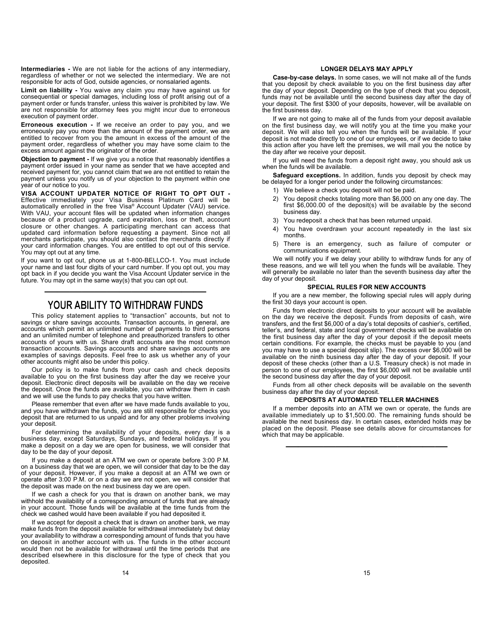Intermediaries - We are not liable for the actions of any intermediary, regardless of whether or not we selected the intermediary. We are not responsible for acts of God, outside agencies, or nonsalaried agents.

Limit on liability - You waive any claim you may have against us for consequential or special damages, including loss of profit arising out of a payment order or funds transfer, unless this waiver is prohibited by law. We are not responsible for attorney fees you might incur due to erroneous execution of payment order.

Erroneous execution - If we receive an order to pay you, and we erroneously pay you more than the amount of the payment order, we are entitled to recover from you the amount in excess of the amount of the payment order, regardless of whether you may have some claim to the excess amount against the originator of the order.

Objection to payment - If we give you a notice that reasonably identifies a payment order issued in your name as sender that we have accepted and received payment for, you cannot claim that we are not entitled to retain the payment unless you notify us of your objection to the payment within one year of our notice to you.

VISA ACCOUNT UPDATER NOTICE OF RIGHT TO OPT OUT - Effective immediately your Visa Business Platinum Card will be automatically enrolled in the free Visa® Account Updater (VAU) service. With VAU, your account files will be updated when information changes because of a product upgrade, card expiration, loss or theft, account closure or other changes. A participating merchant can access that updated card information before requesting a payment. Since not all merchants participate, you should also contact the merchants directly if your card information changes. You are entitled to opt out of this service. You may opt out at any time.

If you want to opt out, phone us at 1-800-BELLCO-1. You must include your name and last four digits of your card number. If you opt out, you may opt back in if you decide you want the Visa Account Updater service in the future. You may opt in the same way(s) that you can opt out.

# ————————————— YOUR ABILITY TO WITHDRAW FUNDS

This policy statement applies to "transaction" accounts, but not to savings or share savings accounts. Transaction accounts, in general, are accounts which permit an unlimited number of payments to third persons and an unlimited number of telephone and preauthorized transfers to other accounts of yours with us. Share draft accounts are the most common transaction accounts. Savings accounts and share savings accounts are examples of savings deposits. Feel free to ask us whether any of your other accounts might also be under this policy.

Our policy is to make funds from your cash and check deposits available to you on the first business day after the day we receive your deposit. Electronic direct deposits will be available on the day we receive the deposit. Once the funds are available, you can withdraw them in cash and we will use the funds to pay checks that you have written.

Please remember that even after we have made funds available to you, and you have withdrawn the funds, you are still responsible for checks you deposit that are returned to us unpaid and for any other problems involving your deposit.

For determining the availability of your deposits, every day is a business day, except Saturdays, Sundays, and federal holidays. If you make a deposit on a day we are open for business, we will consider that day to be the day of your deposit.

If you make a deposit at an ATM we own or operate before 3:00 P.M. on a business day that we are open, we will consider that day to be the day of your deposit. However, if you make a deposit at an ATM we own or operate after 3:00 P.M. or on a day we are not open, we will consider that the deposit was made on the next business day we are open.

If we cash a check for you that is drawn on another bank, we may withhold the availability of a corresponding amount of funds that are already in your account. Those funds will be available at the time funds from the check we cashed would have been available if you had deposited it.

If we accept for deposit a check that is drawn on another bank, we may make funds from the deposit available for withdrawal immediately but delay your availability to withdraw a corresponding amount of funds that you have on deposit in another account with us. The funds in the other account would then not be available for withdrawal until the time periods that are described elsewhere in this disclosure for the type of check that you deposited.

#### LONGER DELAYS MAY APPLY

Case-by-case delays. In some cases, we will not make all of the funds that you deposit by check available to you on the first business day after the day of your deposit. Depending on the type of check that you deposit, funds may not be available until the second business day after the day of your deposit. The first \$300 of your deposits, however, will be available on the first business day.

If we are not going to make all of the funds from your deposit available on the first business day, we will notify you at the time you make your deposit. We will also tell you when the funds will be available. If your deposit is not made directly to one of our employees, or if we decide to take this action after you have left the premises, we will mail you the notice by the day after we receive your deposit.

If you will need the funds from a deposit right away, you should ask us when the funds will be available.

Safeguard exceptions. In addition, funds you deposit by check may be delayed for a longer period under the following circumstances:

- 1) We believe a check you deposit will not be paid.
- 2) You deposit checks totaling more than \$6,000 on any one day. The first \$6,000.00 of the deposit(s) will be available by the second business day.
- 3) You redeposit a check that has been returned unpaid.
- 4) You have overdrawn your account repeatedly in the last six months.
- 5) There is an emergency, such as failure of computer or communications equipment.

We will notify you if we delay your ability to withdraw funds for any of these reasons, and we will tell you when the funds will be available. They will generally be available no later than the seventh business day after the day of your deposit.

### SPECIAL RULES FOR NEW ACCOUNTS

If you are a new member, the following special rules will apply during the first 30 days your account is open.

Funds from electronic direct deposits to your account will be available on the day we receive the deposit. Funds from deposits of cash, wire transfers, and the first \$6,000 of a day's total deposits of cashier's, certified, teller's, and federal, state and local government checks will be available on the first business day after the day of your deposit if the deposit meets certain conditions. For example, the checks must be payable to you (and you may have to use a special deposit slip). The excess over \$6,000 will be available on the ninth business day after the day of your deposit. If your deposit of these checks (other than a U.S. Treasury check) is not made in person to one of our employees, the first \$6,000 will not be available until the second business day after the day of your deposit.

Funds from all other check deposits will be available on the seventh business day after the day of your deposit.

#### DEPOSITS AT AUTOMATED TELLER MACHINES

If a member deposits into an ATM we own or operate, the funds are available immediately up to \$1,500.00. The remaining funds should be available the next business day. In certain cases, extended holds may be placed on the deposit. Please see details above for circumstances for which that may be applicable.

—————————————